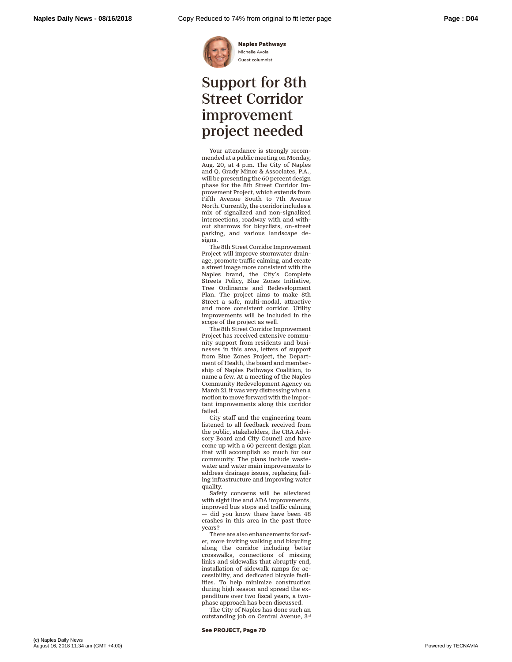

**Naples Pathways** Michelle Avola Guest columnist

## Support for 8th Street Corridor improvement project needed

Your attendance is strongly recommended at a public meeting on Monday, Aug. 20, at 4 p.m. The City of Naples and Q. Grady Minor & Associates, P.A., will be presenting the 60 percent design phase for the 8th Street Corridor Improvement Project, which extends from Fifth Avenue South to 7th Avenue North. Currently, the corridor includes a mix of signalized and non-signalized intersections, roadway with and without sharrows for bicyclists, on-street parking, and various landscape designs.

The 8th Street Corridor Improvement Project will improve stormwater drainage, promote traffic calming, and create a street image more consistent with the Naples brand, the City's Complete Streets Policy, Blue Zones Initiative, Tree Ordinance and Redevelopment Plan. The project aims to make 8th Street a safe, multi-modal, attractive and more consistent corridor. Utility improvements will be included in the scope of the project as well.

The 8th Street Corridor Improvement Project has received extensive community support from residents and businesses in this area, letters of support from Blue Zones Project, the Department of Health, the board and membership of Naples Pathways Coalition, to name a few. At a meeting of the Naples Community Redevelopment Agency on March 21, it was very distressing when a motion to move forward with the important improvements along this corridor failed.

City staff and the engineering team listened to all feedback received from the public, stakeholders, the CRA Advisory Board and City Council and have come up with a 60 percent design plan that will accomplish so much for our community. The plans include wastewater and water main improvements to address drainage issues, replacing failing infrastructure and improving water quality.

Safety concerns will be alleviated with sight line and ADA improvements, improved bus stops and traffic calming did you know there have been 48 crashes in this area in the past three years?

There are also enhancements for safer, more inviting walking and bicycling along the corridor including better crosswalks, connections of missing links and sidewalks that abruptly end, installation of sidewalk ramps for accessibility, and dedicated bicycle facilities. To help minimize construction during high season and spread the expenditure over two fiscal years, a twophase approach has been discussed.

The City of Naples has done such an outstanding job on Central Avenue, 3rd